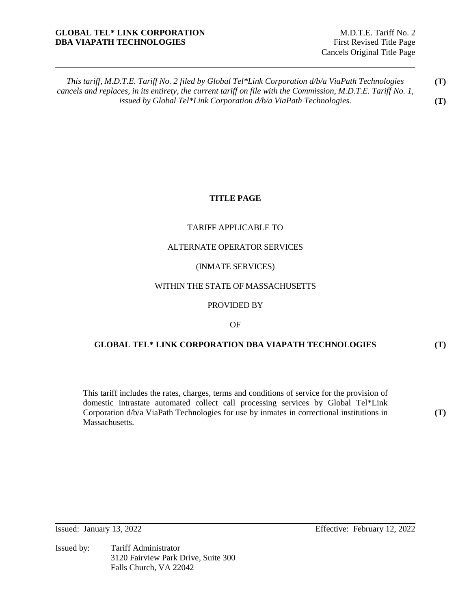## **GLOBAL TEL\* LINK CORPORATION** M.D.T.E. Tariff No. 2 **DBA VIAPATH TECHNOLOGIES** First Revised Title Page

### **TITLE PAGE**

### TARIFF APPLICABLE TO

### ALTERNATE OPERATOR SERVICES

### (INMATE SERVICES)

## WITHIN THE STATE OF MASSACHUSETTS

### PROVIDED BY

#### OF

### **GLOBAL TEL\* LINK CORPORATION DBA VIAPATH TECHNOLOGIES**

This tariff includes the rates, charges, terms and conditions of service for the provision of domestic intrastate automated collect call processing services by Global Tel\*Link Corporation d/b/a ViaPath Technologies for use by inmates in correctional institutions in Massachusetts.

**(T)** 

**(T)**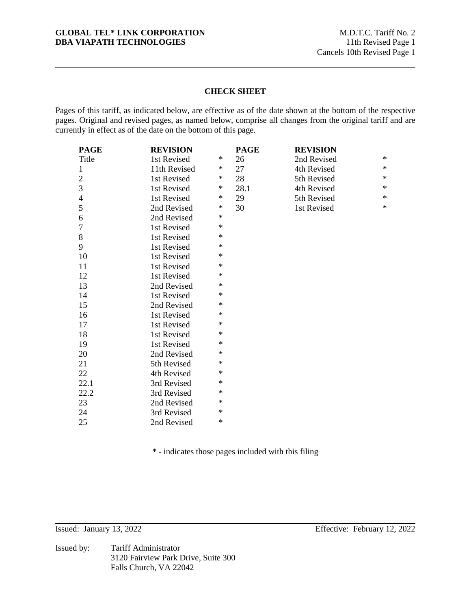### **GLOBAL TEL\* LINK CORPORATION** M.D.T.C. Tariff No. 2<br> **DBA VIAPATH TECHNOLOGIES** 11th Revised Page 1 **DBA VIAPATH TECHNOLOGIES**

## **CHECK SHEET**

Pages of this tariff, as indicated below, are effective as of the date shown at the bottom of the respective pages. Original and revised pages, as named below, comprise all changes from the original tariff and are currently in effect as of the date on the bottom of this page.

| <b>PAGE</b>    | <b>REVISION</b> |        | <b>PAGE</b> | <b>REVISION</b> |        |
|----------------|-----------------|--------|-------------|-----------------|--------|
| Title          | 1st Revised     | $\ast$ | 26          | 2nd Revised     | $\ast$ |
| $\mathbf{1}$   | 11th Revised    | ∗      | 27          | 4th Revised     | $\ast$ |
| $\mathfrak{2}$ | 1st Revised     | $\ast$ | 28          | 5th Revised     | $\ast$ |
| 3              | 1st Revised     | $\ast$ | 28.1        | 4th Revised     | $\ast$ |
| 4              | 1st Revised     | ∗      | 29          | 5th Revised     | $\ast$ |
| 5              | 2nd Revised     | ∗      | 30          | 1st Revised     | $\ast$ |
| 6              | 2nd Revised     | $\ast$ |             |                 |        |
| $\overline{7}$ | 1st Revised     | $\ast$ |             |                 |        |
| 8              | 1st Revised     | ∗      |             |                 |        |
| 9              | 1st Revised     | $\ast$ |             |                 |        |
| 10             | 1st Revised     | ∗      |             |                 |        |
| 11             | 1st Revised     | $\ast$ |             |                 |        |
| 12             | 1st Revised     | ∗      |             |                 |        |
| 13             | 2nd Revised     | ∗      |             |                 |        |
| 14             | 1st Revised     | $\ast$ |             |                 |        |
| 15             | 2nd Revised     | ∗      |             |                 |        |
| 16             | 1st Revised     | $\ast$ |             |                 |        |
| 17             | 1st Revised     | $\ast$ |             |                 |        |
| 18             | 1st Revised     | ∗      |             |                 |        |
| 19             | 1st Revised     | ∗      |             |                 |        |
| 20             | 2nd Revised     | $\ast$ |             |                 |        |
| 21             | 5th Revised     | ∗      |             |                 |        |
| 22             | 4th Revised     | ∗      |             |                 |        |
| 22.1           | 3rd Revised     | $\ast$ |             |                 |        |
| 22.2           | 3rd Revised     | $\ast$ |             |                 |        |
| 23             | 2nd Revised     | ∗      |             |                 |        |
| 24             | 3rd Revised     | $\ast$ |             |                 |        |
| 25             | 2nd Revised     | $\ast$ |             |                 |        |

\* - indicates those pages included with this filing

Issued by: Tariff Administrator 3120 Fairview Park Drive, Suite 300 Falls Church, VA 22042

Issued: January 13, 2022 Effective: February 12, 2022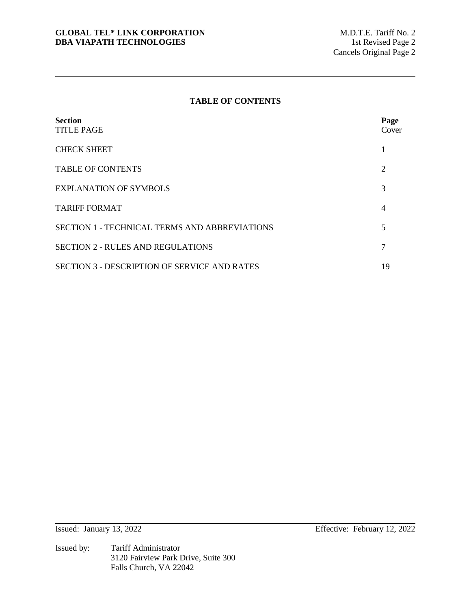## **TABLE OF CONTENTS**

| <b>Section</b><br><b>TITLE PAGE</b>                  | Page<br>Cover |
|------------------------------------------------------|---------------|
| <b>CHECK SHEET</b>                                   |               |
| <b>TABLE OF CONTENTS</b>                             | 2             |
| <b>EXPLANATION OF SYMBOLS</b>                        | 3             |
| <b>TARIFF FORMAT</b>                                 | 4             |
| <b>SECTION 1 - TECHNICAL TERMS AND ABBREVIATIONS</b> | 5             |
| <b>SECTION 2 - RULES AND REGULATIONS</b>             | 7             |
| <b>SECTION 3 - DESCRIPTION OF SERVICE AND RATES</b>  | 19            |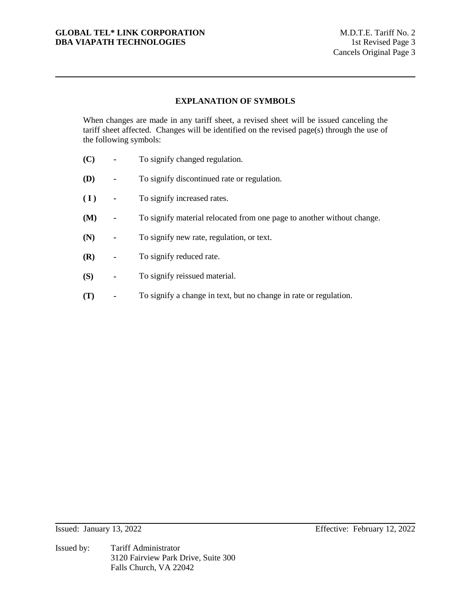# **EXPLANATION OF SYMBOLS**

When changes are made in any tariff sheet, a revised sheet will be issued canceling the tariff sheet affected. Changes will be identified on the revised page(s) through the use of the following symbols:

- **(C)** To signify changed regulation.
- **(D)** To signify discontinued rate or regulation.
- **( I )** To signify increased rates.
- **(M)** To signify material relocated from one page to another without change.
- **(N)** To signify new rate, regulation, or text.
- **(R)** To signify reduced rate.
- **(S)** To signify reissued material.
- **(T)** To signify a change in text, but no change in rate or regulation.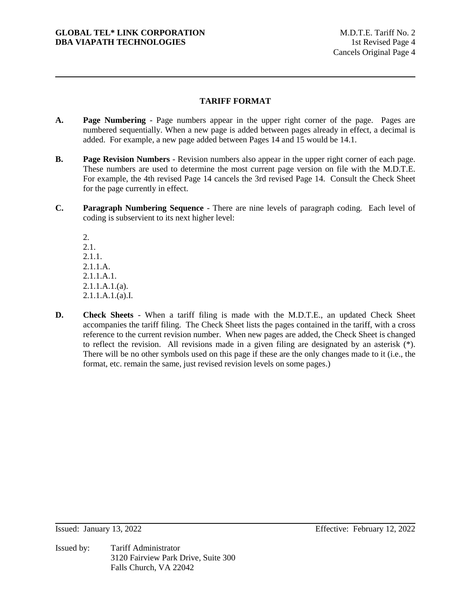# **TARIFF FORMAT**

- **A. Page Numbering** Page numbers appear in the upper right corner of the page. Pages are numbered sequentially. When a new page is added between pages already in effect, a decimal is added. For example, a new page added between Pages 14 and 15 would be 14.1.
- **B. Page Revision Numbers** Revision numbers also appear in the upper right corner of each page. These numbers are used to determine the most current page version on file with the M.D.T.E. For example, the 4th revised Page 14 cancels the 3rd revised Page 14. Consult the Check Sheet for the page currently in effect.
- **C. Paragraph Numbering Sequence** There are nine levels of paragraph coding. Each level of coding is subservient to its next higher level:

2. 2.1. 2.1.1. 2.1.1.A. 2.1.1.A.1. 2.1.1.A.1.(a). 2.1.1.A.1.(a).I.

**D. Check Sheets** - When a tariff filing is made with the M.D.T.E., an updated Check Sheet accompanies the tariff filing. The Check Sheet lists the pages contained in the tariff, with a cross reference to the current revision number. When new pages are added, the Check Sheet is changed to reflect the revision. All revisions made in a given filing are designated by an asterisk  $(*)$ . There will be no other symbols used on this page if these are the only changes made to it (i.e., the format, etc. remain the same, just revised revision levels on some pages.)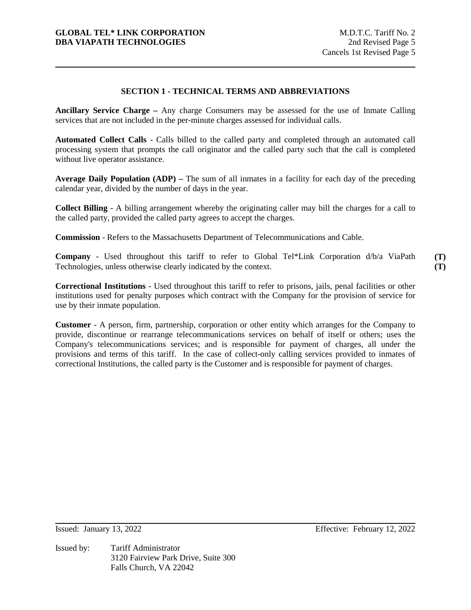# **SECTION 1 - TECHNICAL TERMS AND ABBREVIATIONS**

**Ancillary Service Charge –** Any charge Consumers may be assessed for the use of Inmate Calling services that are not included in the per-minute charges assessed for individual calls.

**Automated Collect Calls** - Calls billed to the called party and completed through an automated call processing system that prompts the call originator and the called party such that the call is completed without live operator assistance.

**Average Daily Population (ADP) –** The sum of all inmates in a facility for each day of the preceding calendar year, divided by the number of days in the year.

**Collect Billing** - A billing arrangement whereby the originating caller may bill the charges for a call to the called party, provided the called party agrees to accept the charges.

**Commission** - Refers to the Massachusetts Department of Telecommunications and Cable.

**Company** - Used throughout this tariff to refer to Global Tel\*Link Corporation d/b/a ViaPath Technologies, unless otherwise clearly indicated by the context.

**Correctional Institutions** - Used throughout this tariff to refer to prisons, jails, penal facilities or other institutions used for penalty purposes which contract with the Company for the provision of service for use by their inmate population.

**Customer** - A person, firm, partnership, corporation or other entity which arranges for the Company to provide, discontinue or rearrange telecommunications services on behalf of itself or others; uses the Company's telecommunications services; and is responsible for payment of charges, all under the provisions and terms of this tariff. In the case of collect-only calling services provided to inmates of correctional Institutions, the called party is the Customer and is responsible for payment of charges.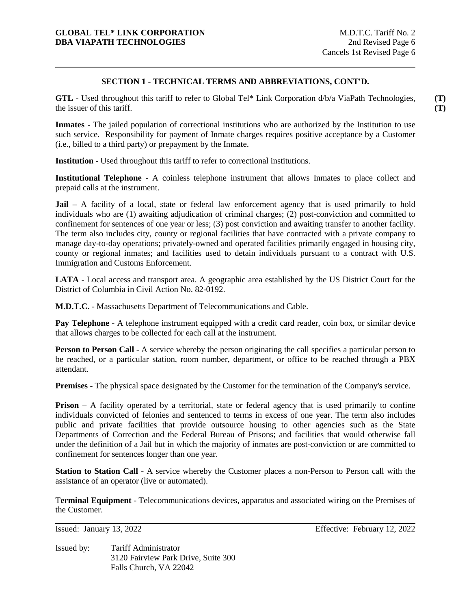### **SECTION 1 - TECHNICAL TERMS AND ABBREVIATIONS, CONT'D.**

**GTL** - Used throughout this tariff to refer to Global Tel\* Link Corporation d/b/a ViaPath Technologies, the issuer of this tariff.

**Inmates** - The jailed population of correctional institutions who are authorized by the Institution to use such service. Responsibility for payment of Inmate charges requires positive acceptance by a Customer (i.e., billed to a third party) or prepayment by the Inmate.

**Institution** - Used throughout this tariff to refer to correctional institutions.

**Institutional Telephone** - A coinless telephone instrument that allows Inmates to place collect and prepaid calls at the instrument.

**Jail** – A facility of a local, state or federal law enforcement agency that is used primarily to hold individuals who are (1) awaiting adjudication of criminal charges; (2) post-conviction and committed to confinement for sentences of one year or less; (3) post conviction and awaiting transfer to another facility. The term also includes city, county or regional facilities that have contracted with a private company to manage day-to-day operations; privately-owned and operated facilities primarily engaged in housing city, county or regional inmates; and facilities used to detain individuals pursuant to a contract with U.S. Immigration and Customs Enforcement.

**LATA** - Local access and transport area. A geographic area established by the US District Court for the District of Columbia in Civil Action No. 82-0192.

**M.D.T.C.** - Massachusetts Department of Telecommunications and Cable.

**Pay Telephone** - A telephone instrument equipped with a credit card reader, coin box, or similar device that allows charges to be collected for each call at the instrument.

**Person to Person Call** - A service whereby the person originating the call specifies a particular person to be reached, or a particular station, room number, department, or office to be reached through a PBX attendant.

**Premises** - The physical space designated by the Customer for the termination of the Company's service.

**Prison** – A facility operated by a territorial, state or federal agency that is used primarily to confine individuals convicted of felonies and sentenced to terms in excess of one year. The term also includes public and private facilities that provide outsource housing to other agencies such as the State Departments of Correction and the Federal Bureau of Prisons; and facilities that would otherwise fall under the definition of a Jail but in which the majority of inmates are post-conviction or are committed to confinement for sentences longer than one year.

**Station to Station Call** - A service whereby the Customer places a non-Person to Person call with the assistance of an operator (live or automated).

T**erminal Equipment** - Telecommunications devices, apparatus and associated wiring on the Premises of the Customer.

Issued by: Tariff Administrator 3120 Fairview Park Drive, Suite 300 Falls Church, VA 22042

**(T) (T)**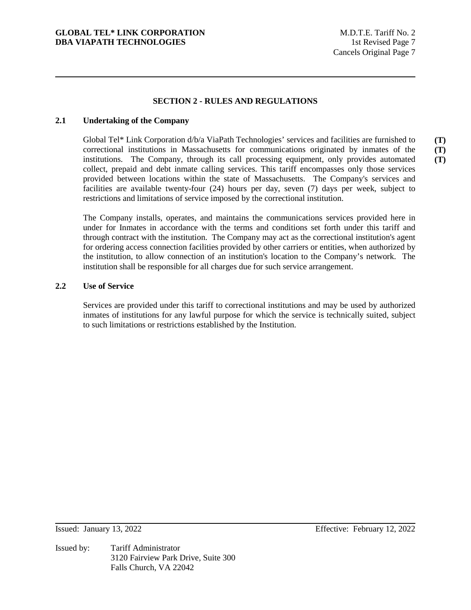# **SECTION 2 - RULES AND REGULATIONS**

### **2.1 Undertaking of the Company**

Global Tel\* Link Corporation d/b/a ViaPath Technologies' services and facilities are furnished to correctional institutions in Massachusetts for communications originated by inmates of the institutions. The Company, through its call processing equipment, only provides automated collect, prepaid and debt inmate calling services. This tariff encompasses only those services provided between locations within the state of Massachusetts. The Company's services and facilities are available twenty-four (24) hours per day, seven (7) days per week, subject to restrictions and limitations of service imposed by the correctional institution. **(T) (T) (T)** 

The Company installs, operates, and maintains the communications services provided here in under for Inmates in accordance with the terms and conditions set forth under this tariff and through contract with the institution. The Company may act as the correctional institution's agent for ordering access connection facilities provided by other carriers or entities, when authorized by the institution, to allow connection of an institution's location to the Company's network. The institution shall be responsible for all charges due for such service arrangement.

### **2.2 Use of Service**

Services are provided under this tariff to correctional institutions and may be used by authorized inmates of institutions for any lawful purpose for which the service is technically suited, subject to such limitations or restrictions established by the Institution.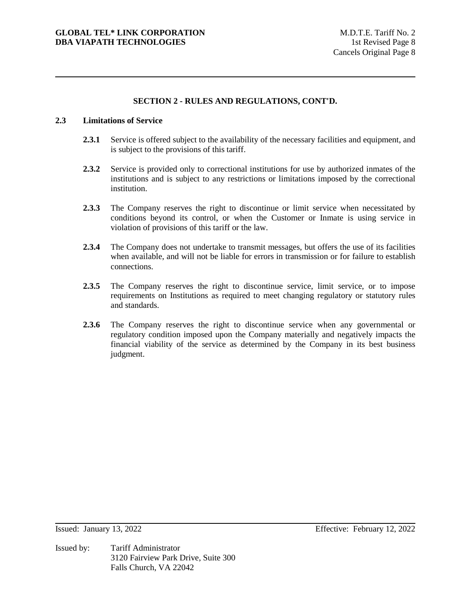#### **2.3 Limitations of Service**

- **2.3.1** Service is offered subject to the availability of the necessary facilities and equipment, and is subject to the provisions of this tariff.
- **2.3.2** Service is provided only to correctional institutions for use by authorized inmates of the institutions and is subject to any restrictions or limitations imposed by the correctional institution.
- **2.3.3** The Company reserves the right to discontinue or limit service when necessitated by conditions beyond its control, or when the Customer or Inmate is using service in violation of provisions of this tariff or the law.
- **2.3.4** The Company does not undertake to transmit messages, but offers the use of its facilities when available, and will not be liable for errors in transmission or for failure to establish connections.
- 2.3.5 The Company reserves the right to discontinue service, limit service, or to impose requirements on Institutions as required to meet changing regulatory or statutory rules and standards.
- **2.3.6** The Company reserves the right to discontinue service when any governmental or regulatory condition imposed upon the Company materially and negatively impacts the financial viability of the service as determined by the Company in its best business judgment.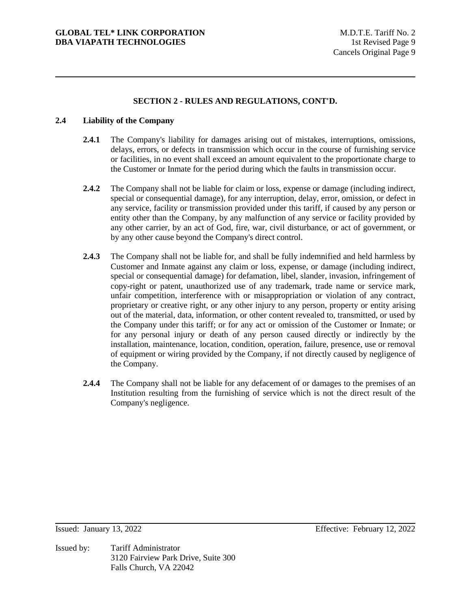### **2.4 Liability of the Company**

- **2.4.1** The Company's liability for damages arising out of mistakes, interruptions, omissions, delays, errors, or defects in transmission which occur in the course of furnishing service or facilities, in no event shall exceed an amount equivalent to the proportionate charge to the Customer or Inmate for the period during which the faults in transmission occur.
- **2.4.2** The Company shall not be liable for claim or loss, expense or damage (including indirect, special or consequential damage), for any interruption, delay, error, omission, or defect in any service, facility or transmission provided under this tariff, if caused by any person or entity other than the Company, by any malfunction of any service or facility provided by any other carrier, by an act of God, fire, war, civil disturbance, or act of government, or by any other cause beyond the Company's direct control.
- **2.4.3** The Company shall not be liable for, and shall be fully indemnified and held harmless by Customer and Inmate against any claim or loss, expense, or damage (including indirect, special or consequential damage) for defamation, libel, slander, invasion, infringement of copy-right or patent, unauthorized use of any trademark, trade name or service mark, unfair competition, interference with or misappropriation or violation of any contract, proprietary or creative right, or any other injury to any person, property or entity arising out of the material, data, information, or other content revealed to, transmitted, or used by the Company under this tariff; or for any act or omission of the Customer or Inmate; or for any personal injury or death of any person caused directly or indirectly by the installation, maintenance, location, condition, operation, failure, presence, use or removal of equipment or wiring provided by the Company, if not directly caused by negligence of the Company.
- **2.4.4** The Company shall not be liable for any defacement of or damages to the premises of an Institution resulting from the furnishing of service which is not the direct result of the Company's negligence.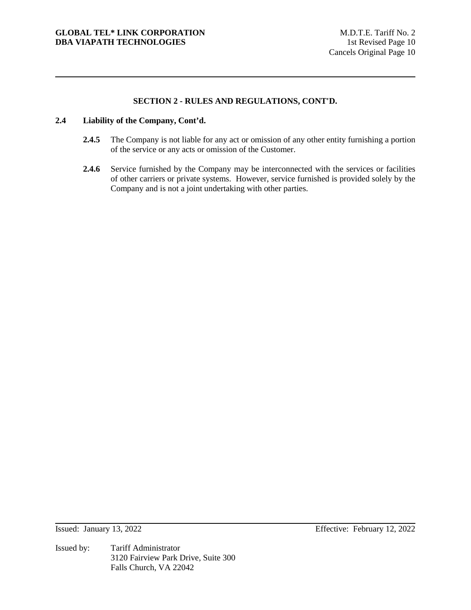### **2.4 Liability of the Company, Cont'd.**

- **2.4.5** The Company is not liable for any act or omission of any other entity furnishing a portion of the service or any acts or omission of the Customer.
- 2.4.6 Service furnished by the Company may be interconnected with the services or facilities of other carriers or private systems. However, service furnished is provided solely by the Company and is not a joint undertaking with other parties.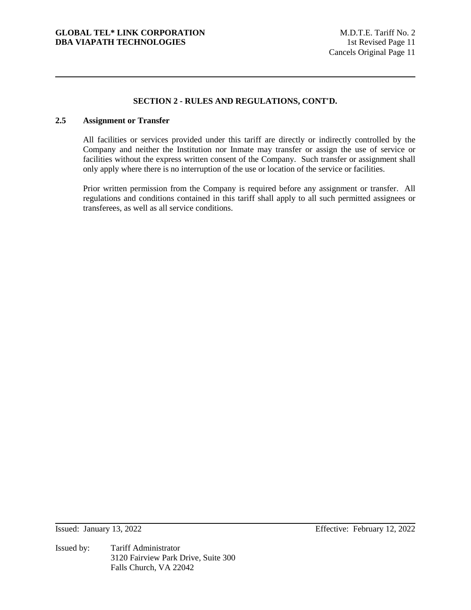### **2.5 Assignment or Transfer**

All facilities or services provided under this tariff are directly or indirectly controlled by the Company and neither the Institution nor Inmate may transfer or assign the use of service or facilities without the express written consent of the Company. Such transfer or assignment shall only apply where there is no interruption of the use or location of the service or facilities.

Prior written permission from the Company is required before any assignment or transfer. All regulations and conditions contained in this tariff shall apply to all such permitted assignees or transferees, as well as all service conditions.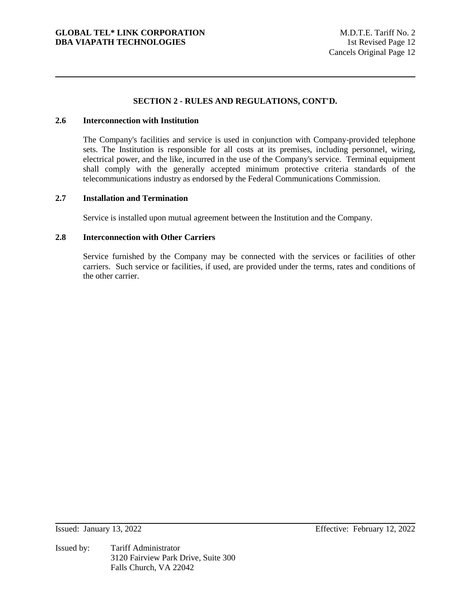### **2.6 Interconnection with Institution**

The Company's facilities and service is used in conjunction with Company-provided telephone sets. The Institution is responsible for all costs at its premises, including personnel, wiring, electrical power, and the like, incurred in the use of the Company's service. Terminal equipment shall comply with the generally accepted minimum protective criteria standards of the telecommunications industry as endorsed by the Federal Communications Commission.

### **2.7 Installation and Termination**

Service is installed upon mutual agreement between the Institution and the Company.

# **2.8 Interconnection with Other Carriers**

Service furnished by the Company may be connected with the services or facilities of other carriers. Such service or facilities, if used, are provided under the terms, rates and conditions of the other carrier.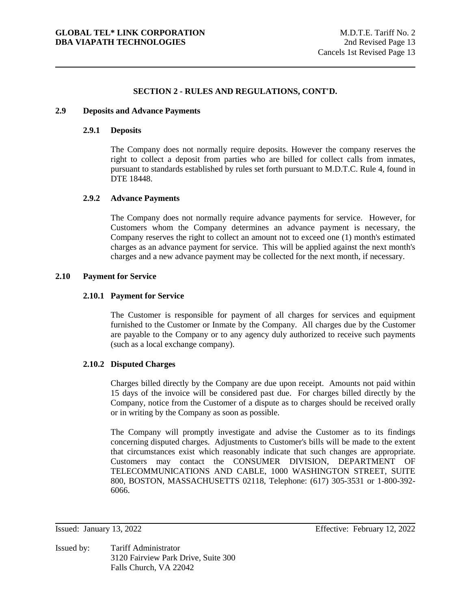#### **2.9 Deposits and Advance Payments**

#### **2.9.1 Deposits**

The Company does not normally require deposits. However the company reserves the right to collect a deposit from parties who are billed for collect calls from inmates, pursuant to standards established by rules set forth pursuant to M.D.T.C. Rule 4, found in DTE 18448.

#### **2.9.2 Advance Payments**

The Company does not normally require advance payments for service. However, for Customers whom the Company determines an advance payment is necessary, the Company reserves the right to collect an amount not to exceed one (1) month's estimated charges as an advance payment for service. This will be applied against the next month's charges and a new advance payment may be collected for the next month, if necessary.

#### **2.10 Payment for Service**

#### **2.10.1 Payment for Service**

The Customer is responsible for payment of all charges for services and equipment furnished to the Customer or Inmate by the Company. All charges due by the Customer are payable to the Company or to any agency duly authorized to receive such payments (such as a local exchange company).

### **2.10.2 Disputed Charges**

Charges billed directly by the Company are due upon receipt. Amounts not paid within 15 days of the invoice will be considered past due. For charges billed directly by the Company, notice from the Customer of a dispute as to charges should be received orally or in writing by the Company as soon as possible.

The Company will promptly investigate and advise the Customer as to its findings concerning disputed charges. Adjustments to Customer's bills will be made to the extent that circumstances exist which reasonably indicate that such changes are appropriate. Customers may contact the CONSUMER DIVISION, DEPARTMENT OF TELECOMMUNICATIONS AND CABLE, 1000 WASHINGTON STREET, SUITE 800, BOSTON, MASSACHUSETTS 02118, Telephone: (617) 305-3531 or 1-800-392- 6066.

Issued: January 13, 2022 Effective: February 12, 2022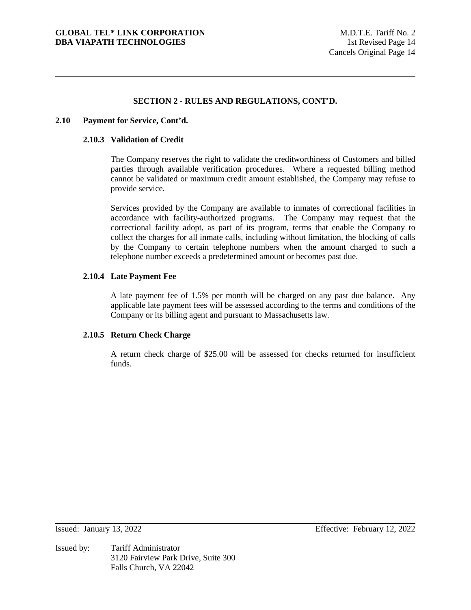### **2.10 Payment for Service, Cont'd.**

#### **2.10.3 Validation of Credit**

The Company reserves the right to validate the creditworthiness of Customers and billed parties through available verification procedures. Where a requested billing method cannot be validated or maximum credit amount established, the Company may refuse to provide service.

Services provided by the Company are available to inmates of correctional facilities in accordance with facility-authorized programs. The Company may request that the correctional facility adopt, as part of its program, terms that enable the Company to collect the charges for all inmate calls, including without limitation, the blocking of calls by the Company to certain telephone numbers when the amount charged to such a telephone number exceeds a predetermined amount or becomes past due.

### **2.10.4 Late Payment Fee**

A late payment fee of 1.5% per month will be charged on any past due balance. Any applicable late payment fees will be assessed according to the terms and conditions of the Company or its billing agent and pursuant to Massachusetts law.

## **2.10.5 Return Check Charge**

A return check charge of \$25.00 will be assessed for checks returned for insufficient funds.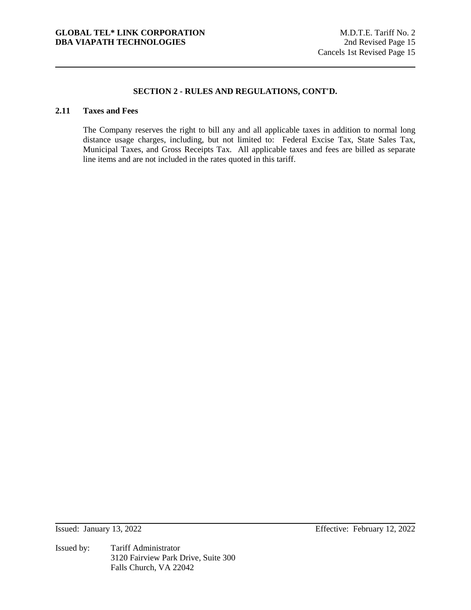# **2.11 Taxes and Fees**

The Company reserves the right to bill any and all applicable taxes in addition to normal long distance usage charges, including, but not limited to: Federal Excise Tax, State Sales Tax, Municipal Taxes, and Gross Receipts Tax. All applicable taxes and fees are billed as separate line items and are not included in the rates quoted in this tariff.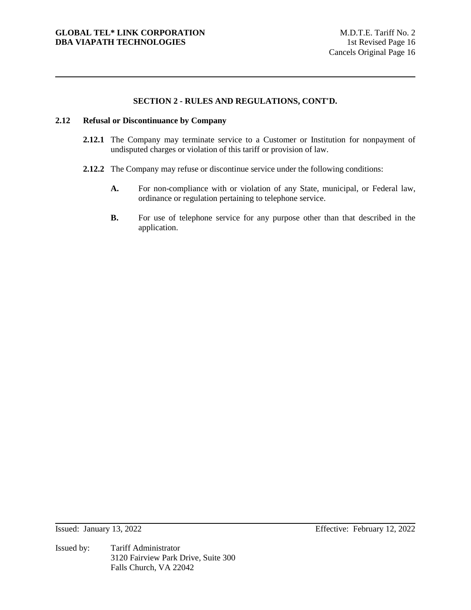#### **2.12 Refusal or Discontinuance by Company**

- **2.12.1** The Company may terminate service to a Customer or Institution for nonpayment of undisputed charges or violation of this tariff or provision of law.
- **2.12.2** The Company may refuse or discontinue service under the following conditions:
	- **A.** For non-compliance with or violation of any State, municipal, or Federal law, ordinance or regulation pertaining to telephone service.
	- **B.** For use of telephone service for any purpose other than that described in the application.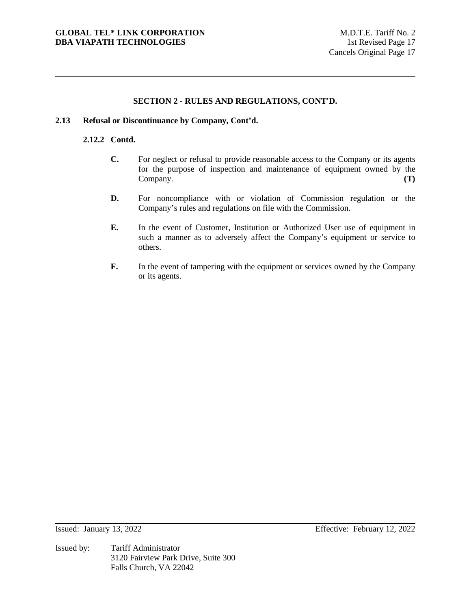#### **2.13 Refusal or Discontinuance by Company, Cont'd.**

## **2.12.2 Contd.**

- **C.** For neglect or refusal to provide reasonable access to the Company or its agents for the purpose of inspection and maintenance of equipment owned by the Company. **(T)**
- **D.** For noncompliance with or violation of Commission regulation or the Company's rules and regulations on file with the Commission.
- **E.** In the event of Customer, Institution or Authorized User use of equipment in such a manner as to adversely affect the Company's equipment or service to others.
- **F.** In the event of tampering with the equipment or services owned by the Company or its agents.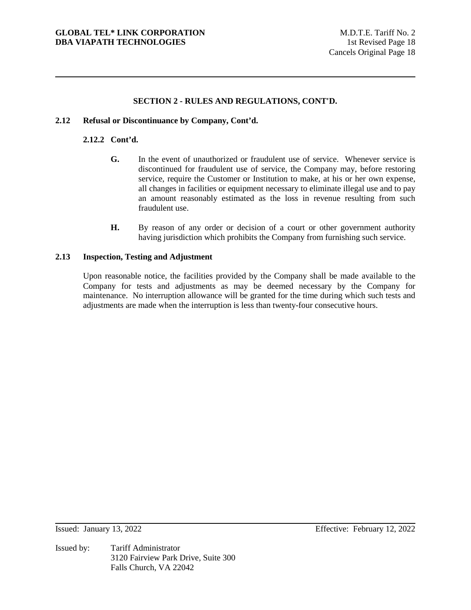### **2.12 Refusal or Discontinuance by Company, Cont'd.**

## **2.12.2 Cont'd.**

- **G.** In the event of unauthorized or fraudulent use of service. Whenever service is discontinued for fraudulent use of service, the Company may, before restoring service, require the Customer or Institution to make, at his or her own expense, all changes in facilities or equipment necessary to eliminate illegal use and to pay an amount reasonably estimated as the loss in revenue resulting from such fraudulent use.
- **H.** By reason of any order or decision of a court or other government authority having jurisdiction which prohibits the Company from furnishing such service.

### **2.13 Inspection, Testing and Adjustment**

Upon reasonable notice, the facilities provided by the Company shall be made available to the Company for tests and adjustments as may be deemed necessary by the Company for maintenance. No interruption allowance will be granted for the time during which such tests and adjustments are made when the interruption is less than twenty-four consecutive hours.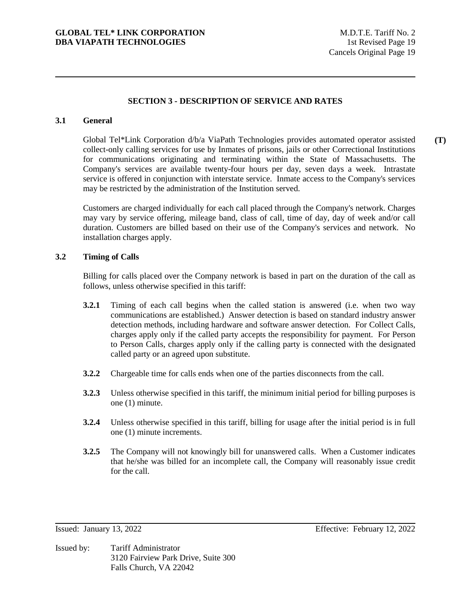### **3.1 General**

Global Tel\*Link Corporation d/b/a ViaPath Technologies provides automated operator assisted collect-only calling services for use by Inmates of prisons, jails or other Correctional Institutions for communications originating and terminating within the State of Massachusetts. The Company's services are available twenty-four hours per day, seven days a week. Intrastate service is offered in conjunction with interstate service. Inmate access to the Company's services may be restricted by the administration of the Institution served. **(T)** 

Customers are charged individually for each call placed through the Company's network. Charges may vary by service offering, mileage band, class of call, time of day, day of week and/or call duration. Customers are billed based on their use of the Company's services and network. No installation charges apply.

### **3.2 Timing of Calls**

Billing for calls placed over the Company network is based in part on the duration of the call as follows, unless otherwise specified in this tariff:

- **3.2.1** Timing of each call begins when the called station is answered (i.e. when two way communications are established.) Answer detection is based on standard industry answer detection methods, including hardware and software answer detection. For Collect Calls, charges apply only if the called party accepts the responsibility for payment. For Person to Person Calls, charges apply only if the calling party is connected with the designated called party or an agreed upon substitute.
- **3.2.2** Chargeable time for calls ends when one of the parties disconnects from the call.
- **3.2.3** Unless otherwise specified in this tariff, the minimum initial period for billing purposes is one (1) minute.
- **3.2.4** Unless otherwise specified in this tariff, billing for usage after the initial period is in full one (1) minute increments.
- **3.2.5** The Company will not knowingly bill for unanswered calls. When a Customer indicates that he/she was billed for an incomplete call, the Company will reasonably issue credit for the call.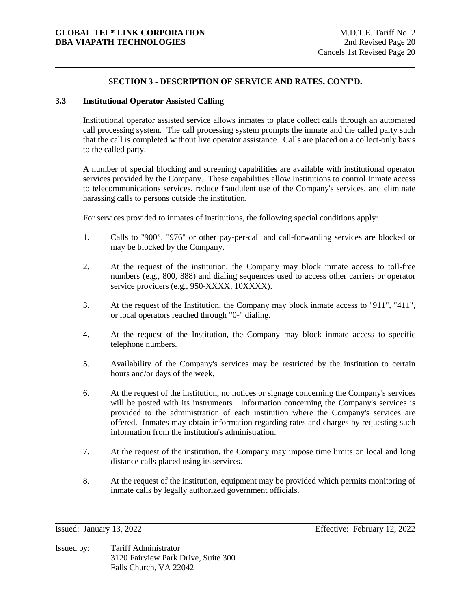### **3.3 Institutional Operator Assisted Calling**

Institutional operator assisted service allows inmates to place collect calls through an automated call processing system. The call processing system prompts the inmate and the called party such that the call is completed without live operator assistance. Calls are placed on a collect-only basis to the called party.

A number of special blocking and screening capabilities are available with institutional operator services provided by the Company. These capabilities allow Institutions to control Inmate access to telecommunications services, reduce fraudulent use of the Company's services, and eliminate harassing calls to persons outside the institution.

For services provided to inmates of institutions, the following special conditions apply:

- 1. Calls to "900", "976" or other pay-per-call and call-forwarding services are blocked or may be blocked by the Company.
- 2. At the request of the institution, the Company may block inmate access to toll-free numbers (e.g., 800, 888) and dialing sequences used to access other carriers or operator service providers (e.g., 950-XXXX, 10XXXX).
- 3. At the request of the Institution, the Company may block inmate access to "911", "411", or local operators reached through "0-" dialing.
- 4. At the request of the Institution, the Company may block inmate access to specific telephone numbers.
- 5. Availability of the Company's services may be restricted by the institution to certain hours and/or days of the week.
- 6. At the request of the institution, no notices or signage concerning the Company's services will be posted with its instruments. Information concerning the Company's services is provided to the administration of each institution where the Company's services are offered. Inmates may obtain information regarding rates and charges by requesting such information from the institution's administration.
- 7. At the request of the institution, the Company may impose time limits on local and long distance calls placed using its services.
- 8. At the request of the institution, equipment may be provided which permits monitoring of inmate calls by legally authorized government officials.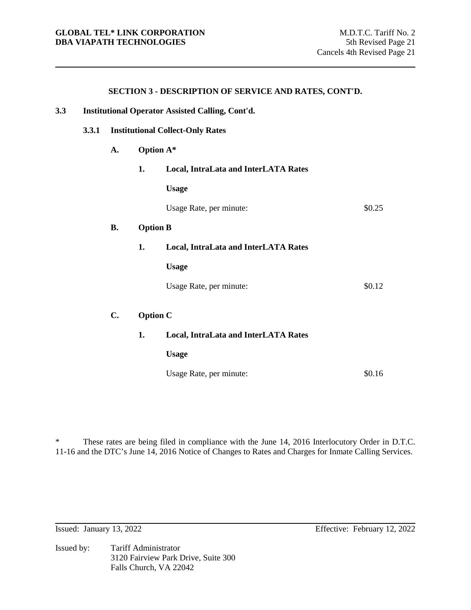| 3.3 |       | Institutional Operator Assisted Calling, Cont'd. |                 |                                      |        |  |
|-----|-------|--------------------------------------------------|-----------------|--------------------------------------|--------|--|
|     | 3.3.1 | <b>Institutional Collect-Only Rates</b>          |                 |                                      |        |  |
|     |       | A.                                               | Option A*       |                                      |        |  |
|     |       |                                                  | 1.              | Local, IntraLata and InterLATA Rates |        |  |
|     |       |                                                  |                 | <b>Usage</b>                         |        |  |
|     |       |                                                  |                 | Usage Rate, per minute:              | \$0.25 |  |
|     |       | <b>B.</b>                                        | <b>Option B</b> |                                      |        |  |
|     |       |                                                  | 1.              | Local, IntraLata and InterLATA Rates |        |  |
|     |       |                                                  |                 | <b>Usage</b>                         |        |  |
|     |       |                                                  |                 | Usage Rate, per minute:              | \$0.12 |  |
|     |       | C.                                               | <b>Option C</b> |                                      |        |  |
|     |       |                                                  | 1.              | Local, IntraLata and InterLATA Rates |        |  |
|     |       |                                                  |                 | <b>Usage</b>                         |        |  |

\* These rates are being filed in compliance with the June 14, 2016 Interlocutory Order in D.T.C. 11-16 and the DTC's June 14, 2016 Notice of Changes to Rates and Charges for Inmate Calling Services.

Usage Rate, per minute:  $$0.16$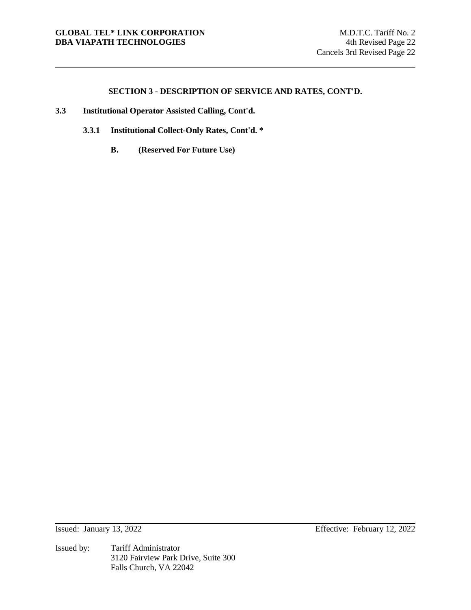- **3.3 Institutional Operator Assisted Calling, Cont'd.**
	- **3.3.1 Institutional Collect-Only Rates, Cont'd. \***
		- **B. (Reserved For Future Use)**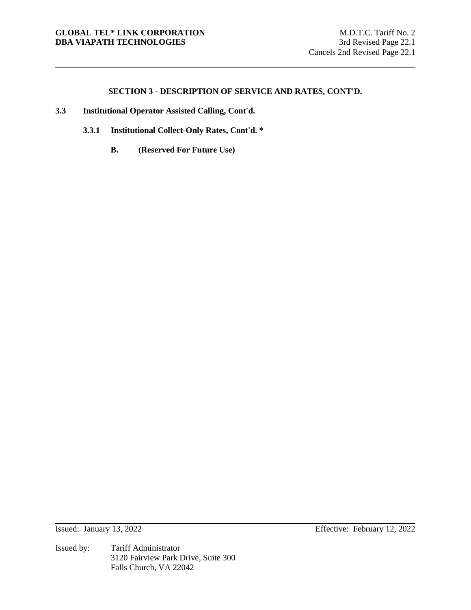- **3.3 Institutional Operator Assisted Calling, Cont'd.**
	- **3.3.1 Institutional Collect-Only Rates, Cont'd. \***
		- **B. (Reserved For Future Use)**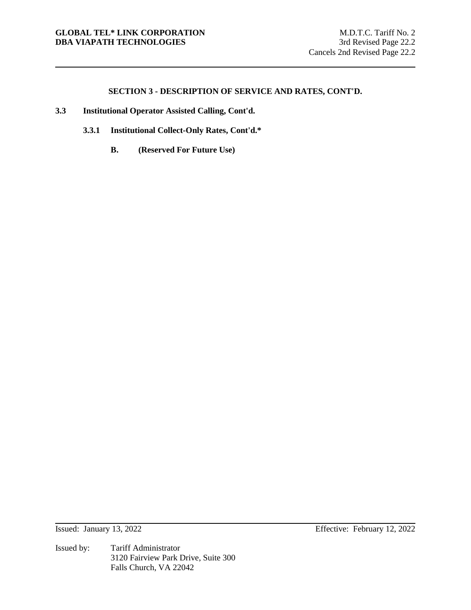- **3.3 Institutional Operator Assisted Calling, Cont'd.**
	- **3.3.1 Institutional Collect-Only Rates, Cont'd.\***
		- **B. (Reserved For Future Use)**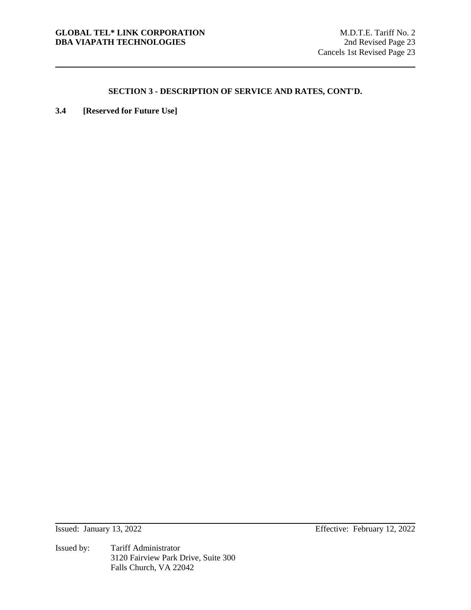**3.4 [Reserved for Future Use]**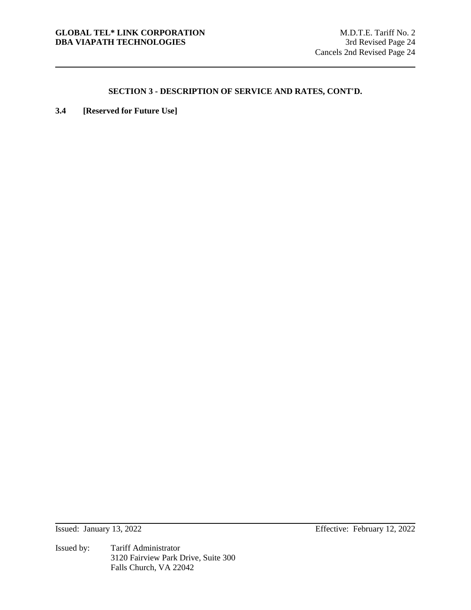**3.4 [Reserved for Future Use]**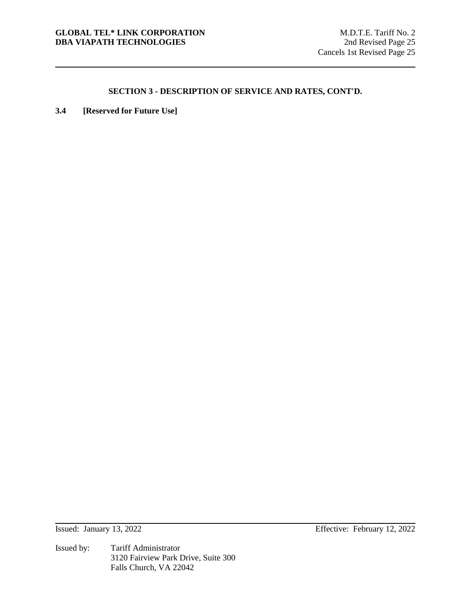**3.4 [Reserved for Future Use]**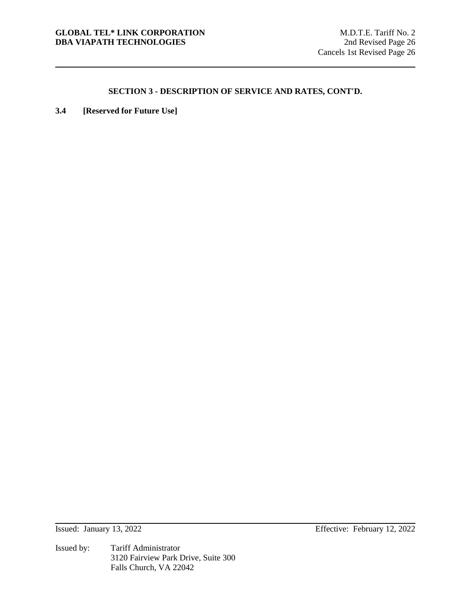**3.4 [Reserved for Future Use]**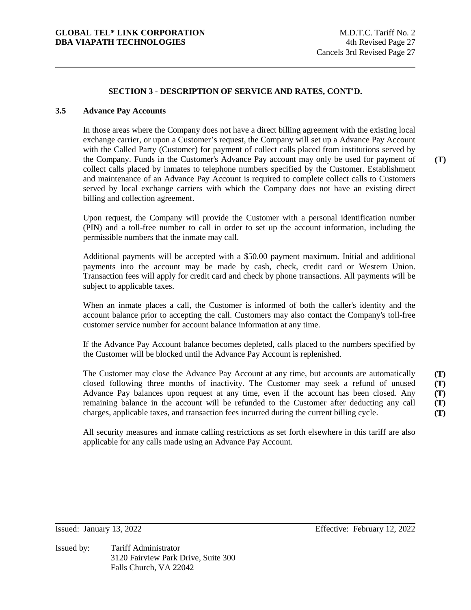### **3.5 Advance Pay Accounts**

In those areas where the Company does not have a direct billing agreement with the existing local exchange carrier, or upon a Customer's request, the Company will set up a Advance Pay Account with the Called Party (Customer) for payment of collect calls placed from institutions served by the Company. Funds in the Customer's Advance Pay account may only be used for payment of collect calls placed by inmates to telephone numbers specified by the Customer. Establishment and maintenance of an Advance Pay Account is required to complete collect calls to Customers served by local exchange carriers with which the Company does not have an existing direct billing and collection agreement.

Upon request, the Company will provide the Customer with a personal identification number (PIN) and a toll-free number to call in order to set up the account information, including the permissible numbers that the inmate may call.

Additional payments will be accepted with a \$50.00 payment maximum. Initial and additional payments into the account may be made by cash, check, credit card or Western Union. Transaction fees will apply for credit card and check by phone transactions. All payments will be subject to applicable taxes.

When an inmate places a call, the Customer is informed of both the caller's identity and the account balance prior to accepting the call. Customers may also contact the Company's toll-free customer service number for account balance information at any time.

If the Advance Pay Account balance becomes depleted, calls placed to the numbers specified by the Customer will be blocked until the Advance Pay Account is replenished.

The Customer may close the Advance Pay Account at any time, but accounts are automatically closed following three months of inactivity. The Customer may seek a refund of unused Advance Pay balances upon request at any time, even if the account has been closed. Any remaining balance in the account will be refunded to the Customer after deducting any call charges, applicable taxes, and transaction fees incurred during the current billing cycle. **(T) (T) (T) (T) (T)** 

All security measures and inmate calling restrictions as set forth elsewhere in this tariff are also applicable for any calls made using an Advance Pay Account.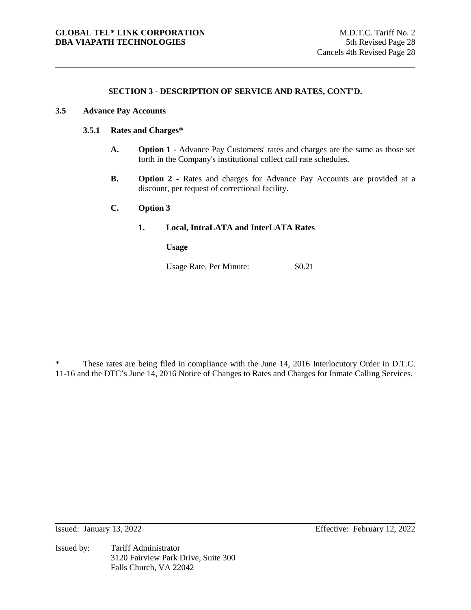#### **3.5 Advance Pay Accounts**

#### **3.5.1 Rates and Charges\***

- **A. Option 1** Advance Pay Customers' rates and charges are the same as those set forth in the Company's institutional collect call rate schedules.
- **B. Option 2** Rates and charges for Advance Pay Accounts are provided at a discount, per request of correctional facility.

# **C. Option 3**

#### **1. Local, IntraLATA and InterLATA Rates**

**Usage** 

Usage Rate, Per Minute:  $$0.21$ 

\* These rates are being filed in compliance with the June 14, 2016 Interlocutory Order in D.T.C. 11-16 and the DTC's June 14, 2016 Notice of Changes to Rates and Charges for Inmate Calling Services.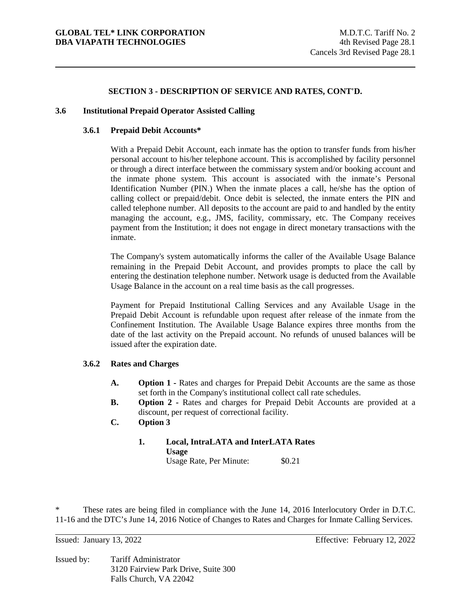#### **3.6 Institutional Prepaid Operator Assisted Calling**

#### **3.6.1 Prepaid Debit Accounts\***

With a Prepaid Debit Account, each inmate has the option to transfer funds from his/her personal account to his/her telephone account. This is accomplished by facility personnel or through a direct interface between the commissary system and/or booking account and the inmate phone system. This account is associated with the inmate's Personal Identification Number (PIN.) When the inmate places a call, he/she has the option of calling collect or prepaid/debit. Once debit is selected, the inmate enters the PIN and called telephone number. All deposits to the account are paid to and handled by the entity managing the account, e.g., JMS, facility, commissary, etc. The Company receives payment from the Institution; it does not engage in direct monetary transactions with the inmate.

The Company's system automatically informs the caller of the Available Usage Balance remaining in the Prepaid Debit Account, and provides prompts to place the call by entering the destination telephone number. Network usage is deducted from the Available Usage Balance in the account on a real time basis as the call progresses.

Payment for Prepaid Institutional Calling Services and any Available Usage in the Prepaid Debit Account is refundable upon request after release of the inmate from the Confinement Institution. The Available Usage Balance expires three months from the date of the last activity on the Prepaid account. No refunds of unused balances will be issued after the expiration date.

#### **3.6.2 Rates and Charges**

- **A.** Option 1 Rates and charges for Prepaid Debit Accounts are the same as those set forth in the Company's institutional collect call rate schedules.
- **B.** Option 2 Rates and charges for Prepaid Debit Accounts are provided at a discount, per request of correctional facility.
- **C. Option 3** 
	- **1. Local, IntraLATA and InterLATA Rates Usage**  Usage Rate, Per Minute: \$0.21

These rates are being filed in compliance with the June 14, 2016 Interlocutory Order in D.T.C. 11-16 and the DTC's June 14, 2016 Notice of Changes to Rates and Charges for Inmate Calling Services.

Issued by: Tariff Administrator 3120 Fairview Park Drive, Suite 300 Falls Church, VA 22042

Issued: January 13, 2022 Effective: February 12, 2022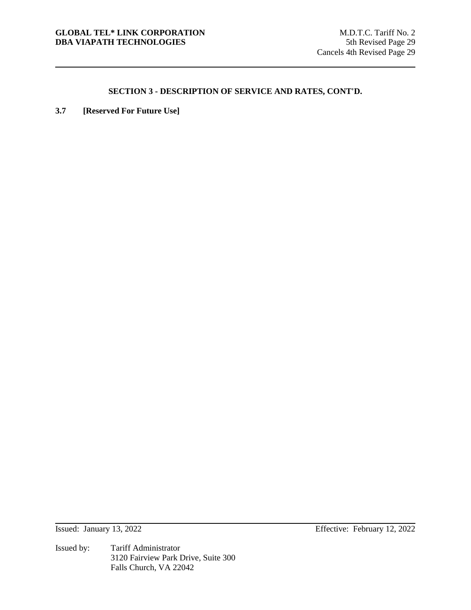**3.7 [Reserved For Future Use]**